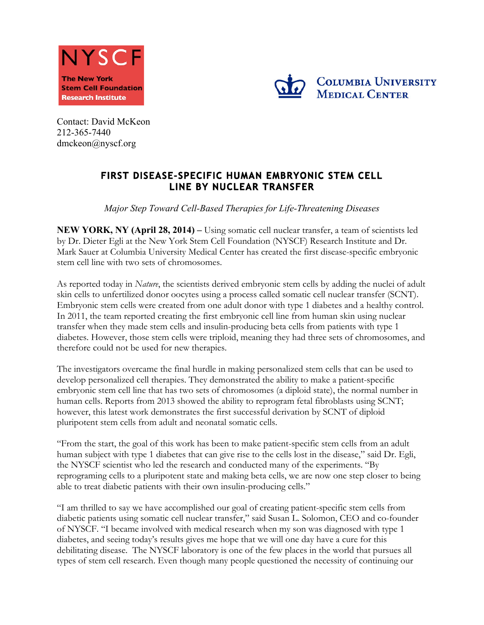



Contact: David McKeon 212-365-7440 dmckeon@nyscf.org

## **FIRST DISEASE-SPECIFIC HUMAN EMBRYONIC STEM CELL LINE BY NUCLEAR TRANSFER**

*Major Step Toward Cell-Based Therapies for Life-Threatening Diseases*

**NEW YORK, NY (April 28, 2014) –** Using somatic cell nuclear transfer, a team of scientists led by Dr. Dieter Egli at the New York Stem Cell Foundation (NYSCF) Research Institute and Dr. Mark Sauer at Columbia University Medical Center has created the first disease-specific embryonic stem cell line with two sets of chromosomes.

As reported today in *Nature*, the scientists derived embryonic stem cells by adding the nuclei of adult skin cells to unfertilized donor oocytes using a process called somatic cell nuclear transfer (SCNT). Embryonic stem cells were created from one adult donor with type 1 diabetes and a healthy control. In 2011, the team reported creating the first embryonic cell line from human skin using nuclear transfer when they made stem cells and insulin-producing beta cells from patients with type 1 diabetes. However, those stem cells were triploid, meaning they had three sets of chromosomes, and therefore could not be used for new therapies.

The investigators overcame the final hurdle in making personalized stem cells that can be used to develop personalized cell therapies. They demonstrated the ability to make a patient-specific embryonic stem cell line that has two sets of chromosomes (a diploid state), the normal number in human cells. Reports from 2013 showed the ability to reprogram fetal fibroblasts using SCNT; however, this latest work demonstrates the first successful derivation by SCNT of diploid pluripotent stem cells from adult and neonatal somatic cells.

"From the start, the goal of this work has been to make patient-specific stem cells from an adult human subject with type 1 diabetes that can give rise to the cells lost in the disease," said Dr. Egli, the NYSCF scientist who led the research and conducted many of the experiments. "By reprograming cells to a pluripotent state and making beta cells, we are now one step closer to being able to treat diabetic patients with their own insulin-producing cells."

"I am thrilled to say we have accomplished our goal of creating patient-specific stem cells from diabetic patients using somatic cell nuclear transfer," said Susan L. Solomon, CEO and co-founder of NYSCF. "I became involved with medical research when my son was diagnosed with type 1 diabetes, and seeing today's results gives me hope that we will one day have a cure for this debilitating disease. The NYSCF laboratory is one of the few places in the world that pursues all types of stem cell research. Even though many people questioned the necessity of continuing our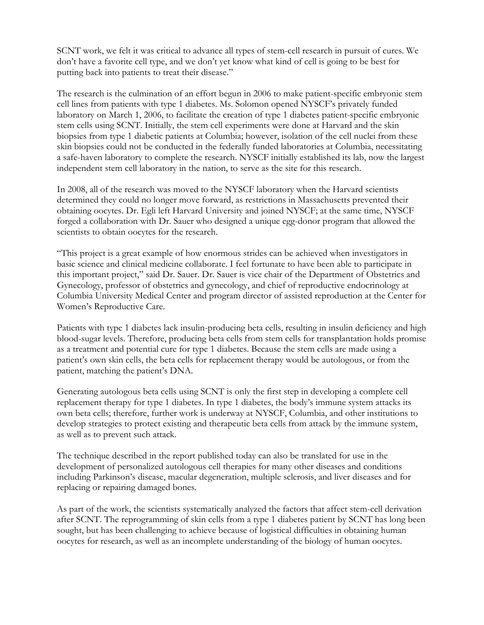SCNT work, we felt it was critical to advance all types of stem-cell research in pursuit of cures. We don't have a favorite cell type, and we don't yet know what kind of cell is going to be best for putting back into patients to treat their disease."

The research is the culmination of an effort begun in 2006 to make patient-specific embryonic stem cell lines from patients with type 1 diabetes. Ms. Solomon opened NYSCF's privately funded laboratory on March 1, 2006, to facilitate the creation of type 1 diabetes patient-specific embryonic stem cells using SCNT. Initially, the stem cell experiments were done at Harvard and the skin biopsies from type 1 diabetic patients at Columbia; however, isolation of the cell nuclei from these skin biopsies could not be conducted in the federally funded laboratories at Columbia, necessitating a safe-haven laboratory to complete the research. NYSCF initially established its lab, now the largest independent stem cell laboratory in the nation, to serve as the site for this research.

In 2008, all of the research was moved to the NYSCF laboratory when the Harvard scientists determined they could no longer move forward, as restrictions in Massachusetts prevented their obtaining oocytes. Dr. Egli left Harvard University and joined NYSCF; at the same time, NYSCF forged a collaboration with Dr. Sauer who designed a unique egg-donor program that allowed the scientists to obtain oocytes for the research.

"This project is a great example of how enormous strides can be achieved when investigators in basic science and clinical medicine collaborate. I feel fortunate to have been able to participate in this important project," said Dr. Sauer. Dr. Sauer is vice chair of the Department of Obstetrics and Gynecology, professor of obstetrics and gynecology, and chief of reproductive endocrinology at Columbia University Medical Center and program director of assisted reproduction at the Center for Women's Reproductive Care.

Patients with type 1 diabetes lack insulin-producing beta cells, resulting in insulin deficiency and high blood-sugar levels. Therefore, producing beta cells from stem cells for transplantation holds promise as a treatment and potential cure for type 1 diabetes. Because the stem cells are made using a patient's own skin cells, the beta cells for replacement therapy would be autologous, or from the patient, matching the patient's DNA.

Generating autologous beta cells using SCNT is only the first step in developing a complete cell replacement therapy for type 1 diabetes. In type 1 diabetes, the body's immune system attacks its own beta cells; therefore, further work is underway at NYSCF, Columbia, and other institutions to develop strategies to protect existing and therapeutic beta cells from attack by the immune system, as well as to prevent such attack.

The technique described in the report published today can also be translated for use in the development of personalized autologous cell therapies for many other diseases and conditions including Parkinson's disease, macular degeneration, multiple sclerosis, and liver diseases and for replacing or repairing damaged bones.

As part of the work, the scientists systematically analyzed the factors that affect stem-cell derivation after SCNT. The reprogramming of skin cells from a type 1 diabetes patient by SCNT has long been sought, but has been challenging to achieve because of logistical difficulties in obtaining human oocytes for research, as well as an incomplete understanding of the biology of human oocytes.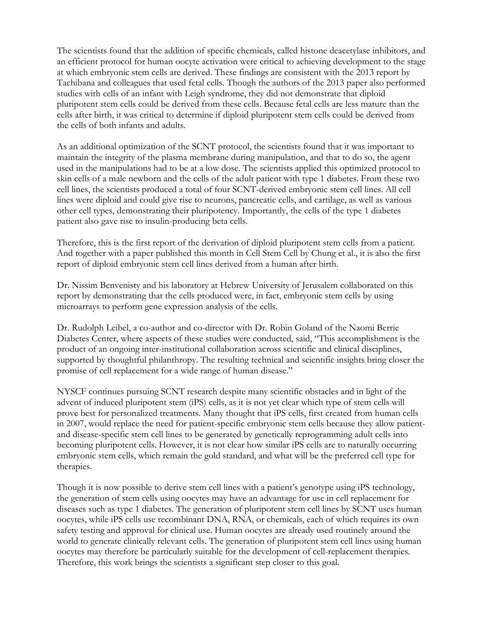The scientists found that the addition of specific chemicals, called histone deacetylase inhibitors, and an efficient protocol for human oocyte activation were critical to achieving development to the stage at which embryonic stem cells are derived. These findings are consistent with the 2013 report by Tachibana and colleagues that used fetal cells. Though the authors of the 2013 paper also performed studies with cells of an infant with Leigh syndrome, they did not demonstrate that diploid pluripotent stem cells could be derived from these cells. Because fetal cells are less mature than the cells after birth, it was critical to determine if diploid pluripotent stem cells could be derived from the cells of both infants and adults.

As an additional optimization of the SCNT protocol, the scientists found that it was important to maintain the integrity of the plasma membrane during manipulation, and that to do so, the agent used in the manipulations had to be at a low dose. The scientists applied this optimized protocol to skin cells of a male newborn and the cells of the adult patient with type 1 diabetes. From these two cell lines, the scientists produced a total of four SCNT-derived embryonic stem cell lines. All cell lines were diploid and could give rise to neurons, pancreatic cells, and cartilage, as well as various other cell types, demonstrating their pluripotency. Importantly, the cells of the type 1 diabetes patient also gave rise to insulin-producing beta cells.

Therefore, this is the first report of the derivation of diploid pluripotent stem cells from a patient. And together with a paper published this month in Cell Stem Cell by Chung et al., it is also the first report of diploid embryonic stem cell lines derived from a human after birth.

Dr. Nissim Benvenisty and his laboratory at Hebrew University of Jerusalem collaborated on this report by demonstrating that the cells produced were, in fact, embryonic stem cells by using microarrays to perform gene expression analysis of the cells.

Dr. Rudolph Leibel, a co-author and co-director with Dr. Robin Goland of the Naomi Berrie Diabetes Center, where aspects of these studies were conducted, said, "This accomplishment is the product of an ongoing inter-institutional collaboration across scientific and clinical disciplines, supported by thoughtful philanthropy. The resulting technical and scientific insights bring closer the promise of cell replacement for a wide range of human disease."

NYSCF continues pursuing SCNT research despite many scientific obstacles and in light of the advent of induced pluripotent stem (iPS) cells, as it is not yet clear which type of stem cells will prove best for personalized treatments. Many thought that iPS cells, first created from human cells in 2007, would replace the need for patient-specific embryonic stem cells because they allow patientand disease-specific stem cell lines to be generated by genetically reprogramming adult cells into becoming pluripotent cells. However, it is not clear how similar iPS cells are to naturally occurring embryonic stem cells, which remain the gold standard, and what will be the preferred cell type for therapies.

Though it is now possible to derive stem cell lines with a patient's genotype using iPS technology, the generation of stem cells using oocytes may have an advantage for use in cell replacement for diseases such as type 1 diabetes. The generation of pluripotent stem cell lines by SCNT uses human oocytes, while iPS cells use recombinant DNA, RNA, or chemicals, each of which requires its own safety testing and approval for clinical use. Human oocytes are already used routinely around the world to generate clinically relevant cells. The generation of pluripotent stem cell lines using human oocytes may therefore be particularly suitable for the development of cell-replacement therapies. Therefore, this work brings the scientists a significant step closer to this goal.